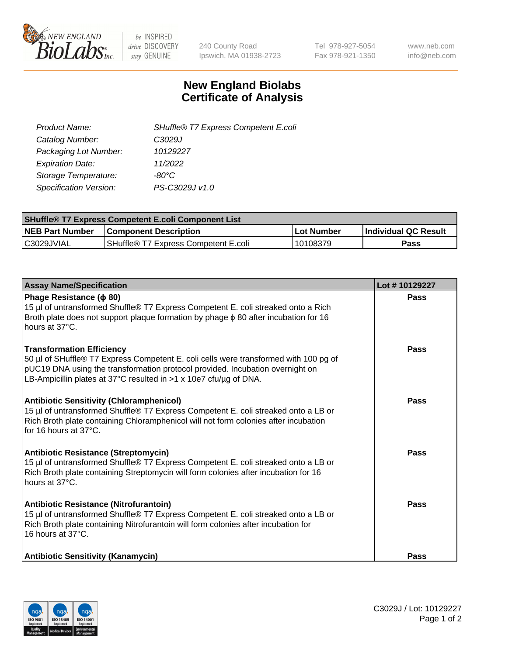

 $be$  INSPIRED drive DISCOVERY stay GENUINE

240 County Road Ipswich, MA 01938-2723 Tel 978-927-5054 Fax 978-921-1350 www.neb.com info@neb.com

## **New England Biolabs Certificate of Analysis**

| SHuffle® T7 Express Competent E.coli |
|--------------------------------------|
| C3029J                               |
| 10129227                             |
| 11/2022                              |
| -80°C.                               |
| PS-C3029J v1.0                       |
|                                      |

| <b>SHuffle<sup>®</sup> T7 Express Competent E.coli Component List</b> |                                      |            |                             |  |
|-----------------------------------------------------------------------|--------------------------------------|------------|-----------------------------|--|
| <b>NEB Part Number</b>                                                | <b>Component Description</b>         | Lot Number | <b>Individual QC Result</b> |  |
| C3029JVIAL                                                            | SHuffle® T7 Express Competent E.coli | 10108379   | <b>Pass</b>                 |  |

| <b>Assay Name/Specification</b>                                                                                                                                                                                                                                                | Lot #10129227 |
|--------------------------------------------------------------------------------------------------------------------------------------------------------------------------------------------------------------------------------------------------------------------------------|---------------|
| Phage Resistance ( $\phi$ 80)<br>15 µl of untransformed Shuffle® T7 Express Competent E. coli streaked onto a Rich<br>Broth plate does not support plaque formation by phage $\phi$ 80 after incubation for 16<br>hours at 37°C.                                               | <b>Pass</b>   |
| <b>Transformation Efficiency</b><br>50 µl of SHuffle® T7 Express Competent E. coli cells were transformed with 100 pg of<br>pUC19 DNA using the transformation protocol provided. Incubation overnight on<br>LB-Ampicillin plates at 37°C resulted in >1 x 10e7 cfu/µg of DNA. | Pass          |
| <b>Antibiotic Sensitivity (Chloramphenicol)</b><br>15 µl of untransformed Shuffle® T7 Express Competent E. coli streaked onto a LB or<br>Rich Broth plate containing Chloramphenicol will not form colonies after incubation<br>for 16 hours at 37°C.                          | Pass          |
| <b>Antibiotic Resistance (Streptomycin)</b><br>15 µl of untransformed Shuffle® T7 Express Competent E. coli streaked onto a LB or<br>Rich Broth plate containing Streptomycin will form colonies after incubation for 16<br>hours at 37°C.                                     | Pass          |
| Antibiotic Resistance (Nitrofurantoin)<br>15 µl of untransformed Shuffle® T7 Express Competent E. coli streaked onto a LB or<br>Rich Broth plate containing Nitrofurantoin will form colonies after incubation for<br>16 hours at 37°C.                                        | Pass          |
| <b>Antibiotic Sensitivity (Kanamycin)</b>                                                                                                                                                                                                                                      | <b>Pass</b>   |